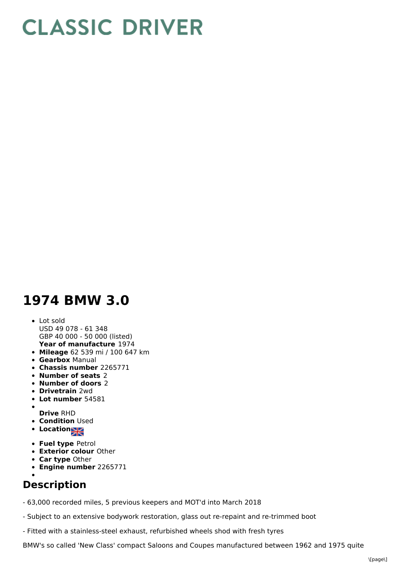## **CLASSIC DRIVER**

## **1974 BMW 3.0**

## **Year of manufacture** 1974 Lot sold USD 49 078 - 61 348 GBP 40 000 - 50 000 (listed)

- **Mileage** 62 539 mi / 100 647 km
- **Gearbox** Manual
- **Chassis number** 2265771
- **Number of seats** 2
- **Number of doors** 2
- **Drivetrain** 2wd
- **Lot number** 54581
- **Drive** RHD
- **Condition Used**
- **Location**
- 
- **Fuel type** Petrol **Exterior colour** Other
- **Car type** Other
- **Engine number** 2265771
- 

## **Description**

- 63,000 recorded miles, 5 previous keepers and MOT'd into March 2018

- Subject to an extensive bodywork restoration, glass out re-repaint and re-trimmed boot

- Fitted with a stainless-steel exhaust, refurbished wheels shod with fresh tyres

BMW's so called 'New Class' compact Saloons and Coupes manufactured between 1962 and 1975 quite